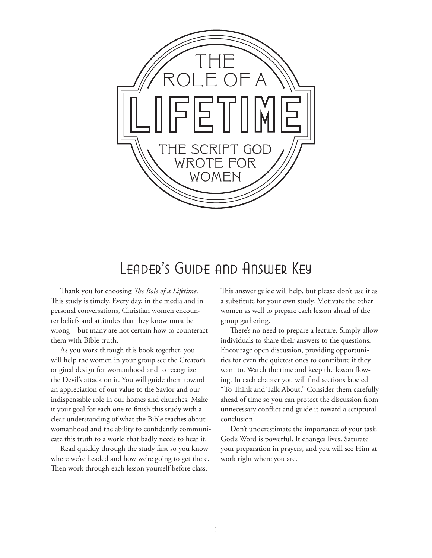

# LEADER'S GUIDE AND ANSWER KEY

Thank you for choosing *The Role of a Lifetime*. This study is timely. Every day, in the media and in personal conversations, Christian women encounter beliefs and attitudes that they know must be wrong—but many are not certain how to counteract them with Bible truth.

As you work through this book together, you will help the women in your group see the Creator's original design for womanhood and to recognize the Devil's attack on it. You will guide them toward an appreciation of our value to the Savior and our indispensable role in our homes and churches. Make it your goal for each one to finish this study with a clear understanding of what the Bible teaches about womanhood and the ability to confidently communicate this truth to a world that badly needs to hear it.

Read quickly through the study first so you know where we're headed and how we're going to get there. Then work through each lesson yourself before class.

This answer guide will help, but please don't use it as a substitute for your own study. Motivate the other women as well to prepare each lesson ahead of the group gathering.

There's no need to prepare a lecture. Simply allow individuals to share their answers to the questions. Encourage open discussion, providing opportunities for even the quietest ones to contribute if they want to. Watch the time and keep the lesson flowing. In each chapter you will find sections labeled "To Think and Talk About." Consider them carefully ahead of time so you can protect the discussion from unnecessary conflict and guide it toward a scriptural conclusion.

Don't underestimate the importance of your task. God's Word is powerful. It changes lives. Saturate your preparation in prayers, and you will see Him at work right where you are.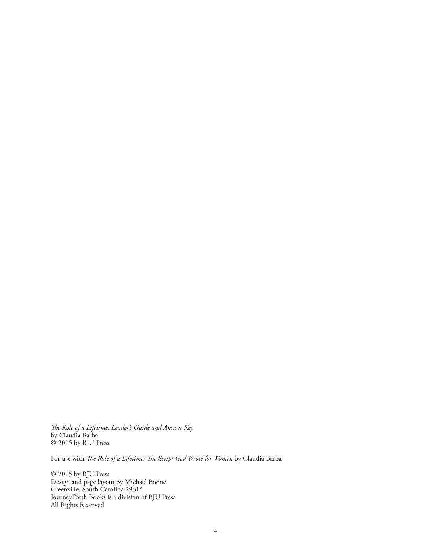*The Role of a Lifetime: Leader's Guide and Answer Key* by Claudia Barba © 2015 by BJU Press

For use with *The Role of a Lifetime: The Script God Wrote for Women* by Claudia Barba

© 2015 by BJU Press Design and page layout by Michael Boone Greenville, South Carolina 29614 JourneyForth Books is a division of BJU Press All Rights Reserved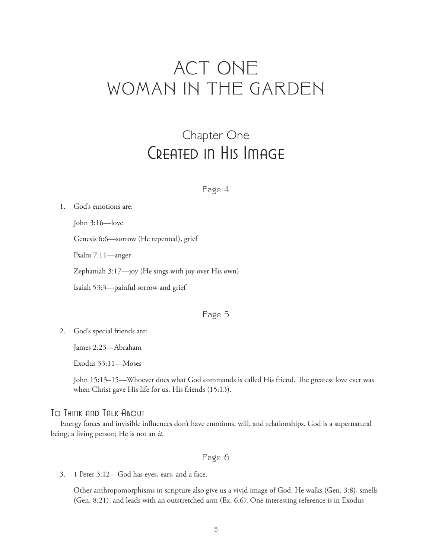# ACT ONE WOMAN IN THE GARDEN

# Chapter One Created in His Image

#### Page 4

1. God's emotions are:

John 3:16—love

Genesis 6:6—sorrow (He repented), grief

Psalm 7:11—anger

Zephaniah 3:17—joy (He sings with joy over His own)

Isaiah 53:3—painful sorrow and grief

### Page 5

2. God's special friends are:

James 2:23—Abraham

Exodus 33:11—Moses

 John 15:13–15—Whoever does what God commands is called His friend. The greatest love ever was when Christ gave His life for us, His friends (15:13).

### To Think and Talk About

Energy forces and invisible influences don't have emotions, will, and relationships. God is a supernatural being, a living person; He is not an *it*.

### Page 6

3. 1 Peter 3:12—God has eyes, ears, and a face.

 Other anthropomorphisms in scripture also give us a vivid image of God. He walks (Gen. 3:8), smells (Gen. 8:21), and leads with an outstretched arm (Ex. 6:6). One interesting reference is in Exodus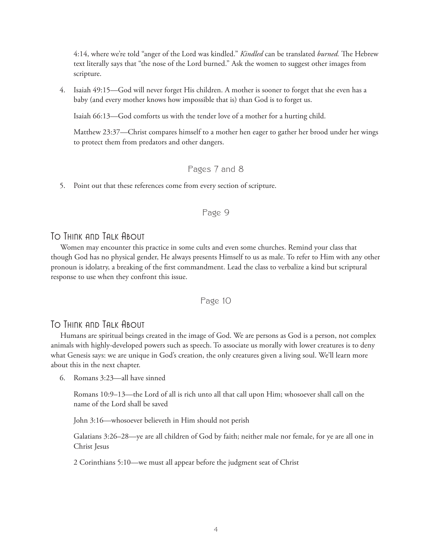4:14, where we're told "anger of the Lord was kindled." *Kindled* can be translated *burned.* The Hebrew text literally says that "the nose of the Lord burned." Ask the women to suggest other images from scripture.

4. Isaiah 49:15—God will never forget His children. A mother is sooner to forget that she even has a baby (and every mother knows how impossible that is) than God is to forget us.

Isaiah 66:13—God comforts us with the tender love of a mother for a hurting child.

 Matthew 23:37—Christ compares himself to a mother hen eager to gather her brood under her wings to protect them from predators and other dangers.

# Pages 7 and 8

5. Point out that these references come from every section of scripture.

### Page 9

### To Think and Talk About

Women may encounter this practice in some cults and even some churches. Remind your class that though God has no physical gender, He always presents Himself to us as male. To refer to Him with any other pronoun is idolatry, a breaking of the first commandment. Lead the class to verbalize a kind but scriptural response to use when they confront this issue.

### Page 10

# To Think and Talk About

Humans are spiritual beings created in the image of God. We are persons as God is a person, not complex animals with highly-developed powers such as speech. To associate us morally with lower creatures is to deny what Genesis says: we are unique in God's creation, the only creatures given a living soul. We'll learn more about this in the next chapter.

6. Romans 3:23—all have sinned

 Romans 10:9–13—the Lord of all is rich unto all that call upon Him; whosoever shall call on the name of the Lord shall be saved

John 3:16—whosoever believeth in Him should not perish

 Galatians 3:26–28—ye are all children of God by faith; neither male nor female, for ye are all one in Christ Jesus

2 Corinthians 5:10—we must all appear before the judgment seat of Christ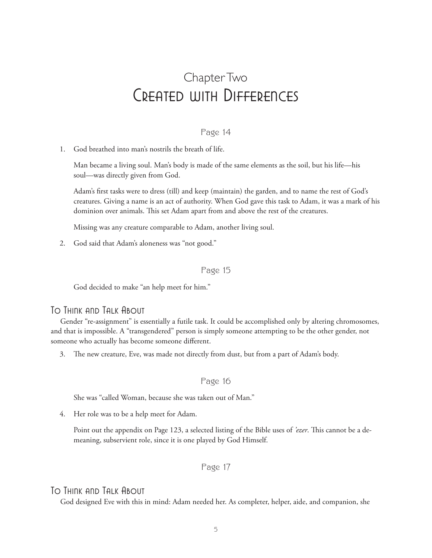# Chapter Two Created with Differences

### Page 14

1. God breathed into man's nostrils the breath of life.

 Man became a living soul. Man's body is made of the same elements as the soil, but his life—his soul—was directly given from God.

 Adam's first tasks were to dress (till) and keep (maintain) the garden, and to name the rest of God's creatures. Giving a name is an act of authority. When God gave this task to Adam, it was a mark of his dominion over animals. This set Adam apart from and above the rest of the creatures.

Missing was any creature comparable to Adam, another living soul.

2. God said that Adam's aloneness was "not good."

### Page 15

God decided to make "an help meet for him."

### To Think and Talk About

Gender "re-assignment" is essentially a futile task. It could be accomplished only by altering chromosomes, and that is impossible. A "transgendered" person is simply someone attempting to be the other gender, not someone who actually has become someone different.

3. The new creature, Eve, was made not directly from dust, but from a part of Adam's body.

#### Page 16

She was "called Woman, because she was taken out of Man."

4. Her role was to be a help meet for Adam.

 Point out the appendix on Page 123, a selected listing of the Bible uses of *'ezer*. This cannot be a demeaning, subservient role, since it is one played by God Himself.

# Page 17

### To Think and Talk About

God designed Eve with this in mind: Adam needed her. As completer, helper, aide, and companion, she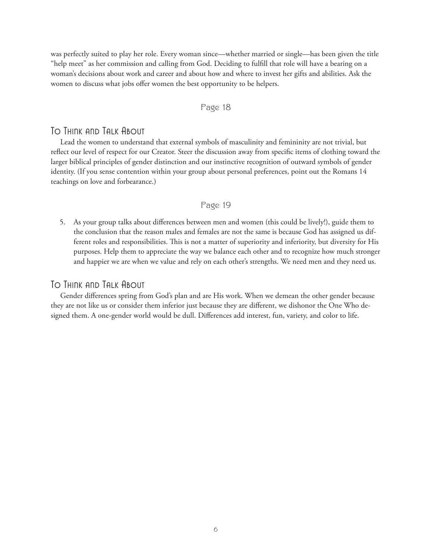was perfectly suited to play her role. Every woman since—whether married or single—has been given the title "help meet" as her commission and calling from God. Deciding to fulfill that role will have a bearing on a woman's decisions about work and career and about how and where to invest her gifts and abilities. Ask the women to discuss what jobs offer women the best opportunity to be helpers.

#### Page 18

# To Think and Talk About

Lead the women to understand that external symbols of masculinity and femininity are not trivial, but reflect our level of respect for our Creator. Steer the discussion away from specific items of clothing toward the larger biblical principles of gender distinction and our instinctive recognition of outward symbols of gender identity. (If you sense contention within your group about personal preferences, point out the Romans 14 teachings on love and forbearance.)

### Page 19

5. As your group talks about differences between men and women (this could be lively!), guide them to the conclusion that the reason males and females are not the same is because God has assigned us different roles and responsibilities. This is not a matter of superiority and inferiority, but diversity for His purposes. Help them to appreciate the way we balance each other and to recognize how much stronger and happier we are when we value and rely on each other's strengths. We need men and they need us.

# To Think and Talk About

Gender differences spring from God's plan and are His work. When we demean the other gender because they are not like us or consider them inferior just because they are different, we dishonor the One Who designed them. A one-gender world would be dull. Differences add interest, fun, variety, and color to life.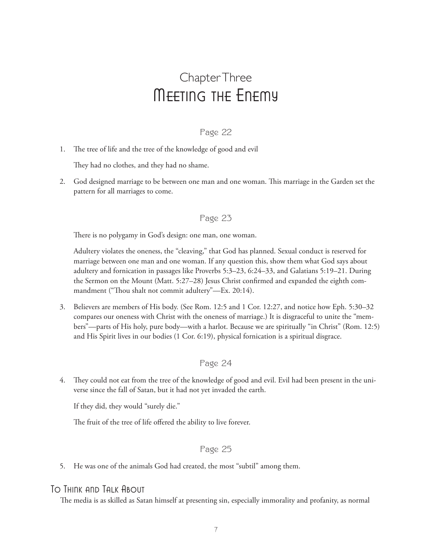# Chapter Three Meeting the Enemy

# Page 22

1. The tree of life and the tree of the knowledge of good and evil

They had no clothes, and they had no shame.

2. God designed marriage to be between one man and one woman. This marriage in the Garden set the pattern for all marriages to come.

### Page 23

There is no polygamy in God's design: one man, one woman.

 Adultery violates the oneness, the "cleaving," that God has planned. Sexual conduct is reserved for marriage between one man and one woman. If any question this, show them what God says about adultery and fornication in passages like Proverbs 5:3–23, 6:24–33, and Galatians 5:19–21. During the Sermon on the Mount (Matt. 5:27–28) Jesus Christ confirmed and expanded the eighth commandment ("Thou shalt not commit adultery"—Ex. 20:14).

3. Believers are members of His body. (See Rom. 12:5 and 1 Cor. 12:27, and notice how Eph. 5:30–32 compares our oneness with Christ with the oneness of marriage.) It is disgraceful to unite the "members"—parts of His holy, pure body—with a harlot. Because we are spiritually "in Christ" (Rom. 12:5) and His Spirit lives in our bodies (1 Cor. 6:19), physical fornication is a spiritual disgrace.

# Page 24

4. They could not eat from the tree of the knowledge of good and evil. Evil had been present in the universe since the fall of Satan, but it had not yet invaded the earth.

If they did, they would "surely die."

The fruit of the tree of life offered the ability to live forever.

# Page 25

5. He was one of the animals God had created, the most "subtil" among them.

# To Think and Talk About

The media is as skilled as Satan himself at presenting sin, especially immorality and profanity, as normal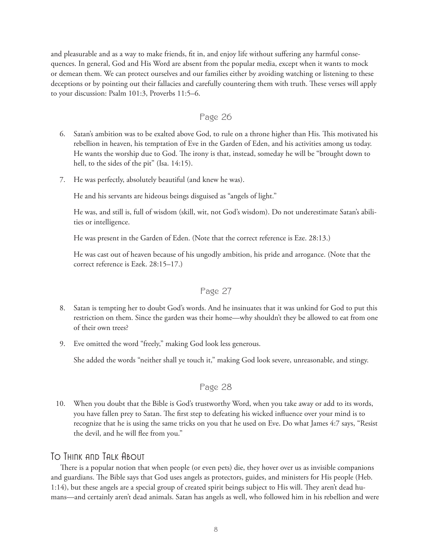and pleasurable and as a way to make friends, fit in, and enjoy life without suffering any harmful consequences. In general, God and His Word are absent from the popular media, except when it wants to mock or demean them. We can protect ourselves and our families either by avoiding watching or listening to these deceptions or by pointing out their fallacies and carefully countering them with truth. These verses will apply to your discussion: Psalm 101:3, Proverbs 11:5–6.

### Page 26

- 6. Satan's ambition was to be exalted above God, to rule on a throne higher than His. This motivated his rebellion in heaven, his temptation of Eve in the Garden of Eden, and his activities among us today. He wants the worship due to God. The irony is that, instead, someday he will be "brought down to hell, to the sides of the pit" (Isa. 14:15).
- 7. He was perfectly, absolutely beautiful (and knew he was).

He and his servants are hideous beings disguised as "angels of light."

 He was, and still is, full of wisdom (skill, wit, not God's wisdom). Do not underestimate Satan's abilities or intelligence.

He was present in the Garden of Eden. (Note that the correct reference is Eze. 28:13.)

 He was cast out of heaven because of his ungodly ambition, his pride and arrogance. (Note that the correct reference is Ezek. 28:15–17.)

### Page 27

- 8. Satan is tempting her to doubt God's words. And he insinuates that it was unkind for God to put this restriction on them. Since the garden was their home—why shouldn't they be allowed to eat from one of their own trees?
- 9. Eve omitted the word "freely," making God look less generous.

She added the words "neither shall ye touch it," making God look severe, unreasonable, and stingy.

### Page 28

10. When you doubt that the Bible is God's trustworthy Word, when you take away or add to its words, you have fallen prey to Satan. The first step to defeating his wicked influence over your mind is to recognize that he is using the same tricks on you that he used on Eve. Do what James 4:7 says, "Resist the devil, and he will flee from you."

# To Think and Talk About

There is a popular notion that when people (or even pets) die, they hover over us as invisible companions and guardians. The Bible says that God uses angels as protectors, guides, and ministers for His people (Heb. 1:14), but these angels are a special group of created spirit beings subject to His will. They aren't dead humans—and certainly aren't dead animals. Satan has angels as well, who followed him in his rebellion and were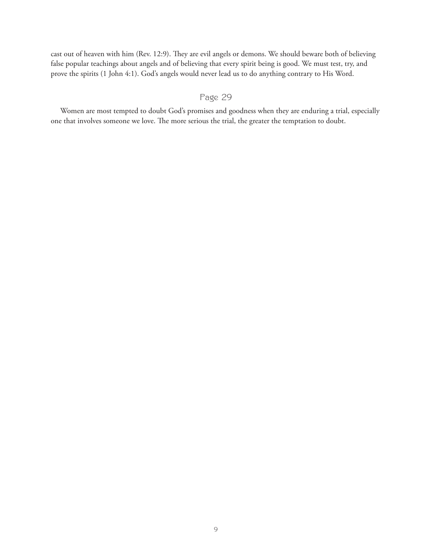cast out of heaven with him (Rev. 12:9). They are evil angels or demons. We should beware both of believing false popular teachings about angels and of believing that every spirit being is good. We must test, try, and prove the spirits (1 John 4:1). God's angels would never lead us to do anything contrary to His Word.

# Page 29

Women are most tempted to doubt God's promises and goodness when they are enduring a trial, especially one that involves someone we love. The more serious the trial, the greater the temptation to doubt.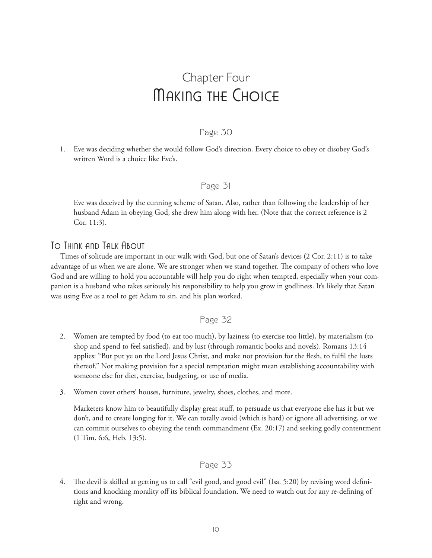# Chapter Four Making the Choice

### Page 30

1. Eve was deciding whether she would follow God's direction. Every choice to obey or disobey God's written Word is a choice like Eve's.

### Page 31

 Eve was deceived by the cunning scheme of Satan. Also, rather than following the leadership of her husband Adam in obeying God, she drew him along with her. (Note that the correct reference is 2 Cor. 11:3).

# To Think and Talk About

Times of solitude are important in our walk with God, but one of Satan's devices (2 Cor. 2:11) is to take advantage of us when we are alone. We are stronger when we stand together. The company of others who love God and are willing to hold you accountable will help you do right when tempted, especially when your companion is a husband who takes seriously his responsibility to help you grow in godliness. It's likely that Satan was using Eve as a tool to get Adam to sin, and his plan worked.

### Page 32

- 2. Women are tempted by food (to eat too much), by laziness (to exercise too little), by materialism (to shop and spend to feel satisfied), and by lust (through romantic books and novels). Romans 13:14 applies: "But put ye on the Lord Jesus Christ, and make not provision for the flesh, to fulfil the lusts thereof." Not making provision for a special temptation might mean establishing accountability with someone else for diet, exercise, budgeting, or use of media.
- 3. Women covet others' houses, furniture, jewelry, shoes, clothes, and more.

 Marketers know him to beautifully display great stuff, to persuade us that everyone else has it but we don't, and to create longing for it. We can totally avoid (which is hard) or ignore all advertising, or we can commit ourselves to obeying the tenth commandment (Ex. 20:17) and seeking godly contentment (1 Tim. 6:6, Heb. 13:5).

### Page 33

4. The devil is skilled at getting us to call "evil good, and good evil" (Isa. 5:20) by revising word definitions and knocking morality off its biblical foundation. We need to watch out for any re-defining of right and wrong.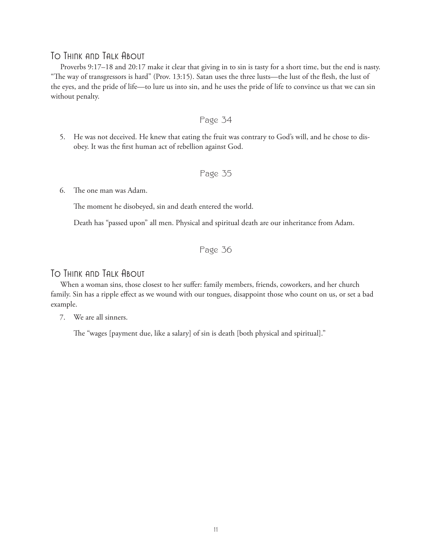# To Think and Talk About

Proverbs 9:17–18 and 20:17 make it clear that giving in to sin is tasty for a short time, but the end is nasty. "The way of transgressors is hard" (Prov. 13:15). Satan uses the three lusts—the lust of the flesh, the lust of the eyes, and the pride of life—to lure us into sin, and he uses the pride of life to convince us that we can sin without penalty.

- Page 34
- 5. He was not deceived. He knew that eating the fruit was contrary to God's will, and he chose to disobey. It was the first human act of rebellion against God.

### Page 35

#### 6. The one man was Adam.

The moment he disobeyed, sin and death entered the world.

Death has "passed upon" all men. Physical and spiritual death are our inheritance from Adam.

Page 36

# To Think and Talk About

When a woman sins, those closest to her suffer: family members, friends, coworkers, and her church family. Sin has a ripple effect as we wound with our tongues, disappoint those who count on us, or set a bad example.

7. We are all sinners.

The "wages [payment due, like a salary] of sin is death [both physical and spiritual]."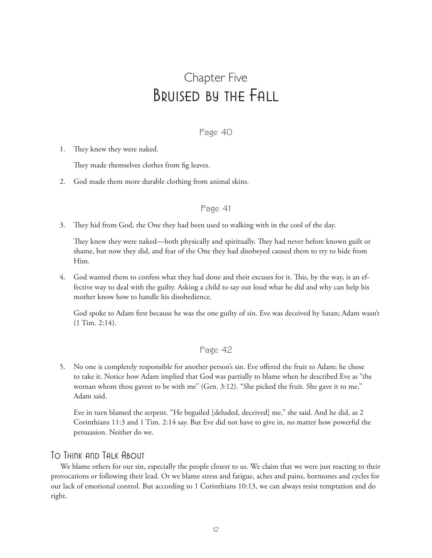# Chapter Five Bruised by the Fall

### Page 40

1. They knew they were naked.

They made themselves clothes from fig leaves.

2. God made them more durable clothing from animal skins.

#### Page 41

3. They hid from God, the One they had been used to walking with in the cool of the day.

 They knew they were naked—both physically and spiritually. They had never before known guilt or shame, but now they did, and fear of the One they had disobeyed caused them to try to hide from Him.

4. God wanted them to confess what they had done and their excuses for it. This, by the way, is an effective way to deal with the guilty. Asking a child to say out loud what he did and why can help his mother know how to handle his disobedience.

 God spoke to Adam first because he was the one guilty of sin. Eve was deceived by Satan; Adam wasn't (1 Tim. 2:14).

### Page 42

5. No one is completely responsible for another person's sin. Eve offered the fruit to Adam; he chose to take it. Notice how Adam implied that God was partially to blame when he described Eve as "the woman whom thou gavest to be with me" (Gen. 3:12). "She picked the fruit. She gave it to me," Adam said.

 Eve in turn blamed the serpent. "He beguiled [deluded, deceived] me," she said. And he did, as 2 Corinthians 11:3 and 1 Tim. 2:14 say. But Eve did not have to give in, no matter how powerful the persuasion. Neither do we.

### To Think and Talk About

We blame others for our sin, especially the people closest to us. We claim that we were just reacting to their provocations or following their lead. Or we blame stress and fatigue, aches and pains, hormones and cycles for our lack of emotional control. But according to 1 Corinthians 10:13, we can always resist temptation and do right.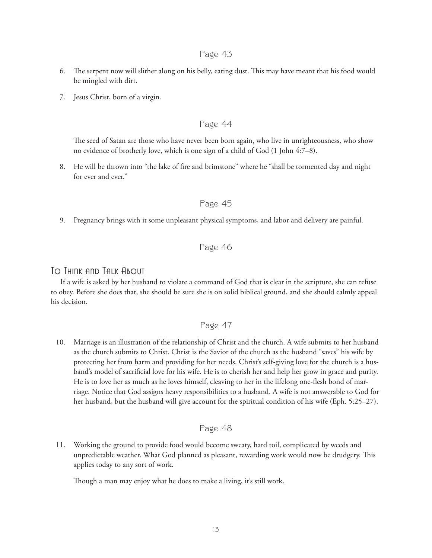- 6. The serpent now will slither along on his belly, eating dust. This may have meant that his food would be mingled with dirt.
- 7. Jesus Christ, born of a virgin.

### Page 44

 The seed of Satan are those who have never been born again, who live in unrighteousness, who show no evidence of brotherly love, which is one sign of a child of God (1 John 4:7–8).

8. He will be thrown into "the lake of fire and brimstone" where he "shall be tormented day and night for ever and ever."

### Page 45

9. Pregnancy brings with it some unpleasant physical symptoms, and labor and delivery are painful.

### Page 46

### To Think and Talk About

If a wife is asked by her husband to violate a command of God that is clear in the scripture, she can refuse to obey. Before she does that, she should be sure she is on solid biblical ground, and she should calmly appeal his decision.

#### Page 47

10. Marriage is an illustration of the relationship of Christ and the church. A wife submits to her husband as the church submits to Christ. Christ is the Savior of the church as the husband "saves" his wife by protecting her from harm and providing for her needs. Christ's self-giving love for the church is a husband's model of sacrificial love for his wife. He is to cherish her and help her grow in grace and purity. He is to love her as much as he loves himself, cleaving to her in the lifelong one-flesh bond of marriage. Notice that God assigns heavy responsibilities to a husband. A wife is not answerable to God for her husband, but the husband will give account for the spiritual condition of his wife (Eph. 5:25–27).

#### Page 48

11. Working the ground to provide food would become sweaty, hard toil, complicated by weeds and unpredictable weather. What God planned as pleasant, rewarding work would now be drudgery. This applies today to any sort of work.

Though a man may enjoy what he does to make a living, it's still work.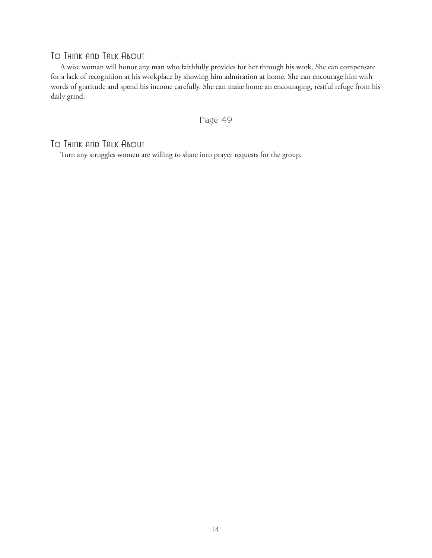# To Think and Talk About

A wise woman will honor any man who faithfully provides for her through his work. She can compensate for a lack of recognition at his workplace by showing him admiration at home. She can encourage him with words of gratitude and spend his income carefully. She can make home an encouraging, restful refuge from his daily grind.

Page 49

# To Think and Talk About

Turn any struggles women are willing to share into prayer requests for the group.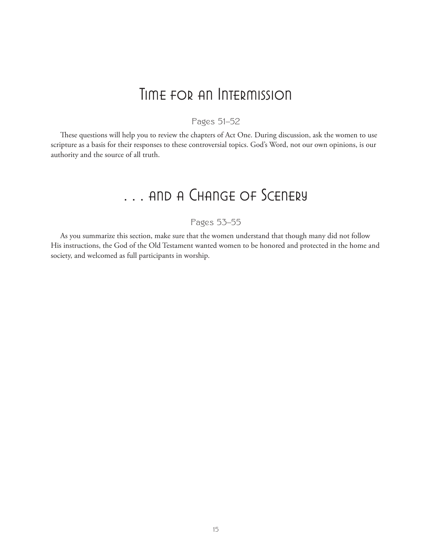# Time for an Intermission

# Pages 51–52

These questions will help you to review the chapters of Act One. During discussion, ask the women to use scripture as a basis for their responses to these controversial topics. God's Word, not our own opinions, is our authority and the source of all truth.

# . . . and a Change of Scenery

# Pages 53–55

As you summarize this section, make sure that the women understand that though many did not follow His instructions, the God of the Old Testament wanted women to be honored and protected in the home and society, and welcomed as full participants in worship.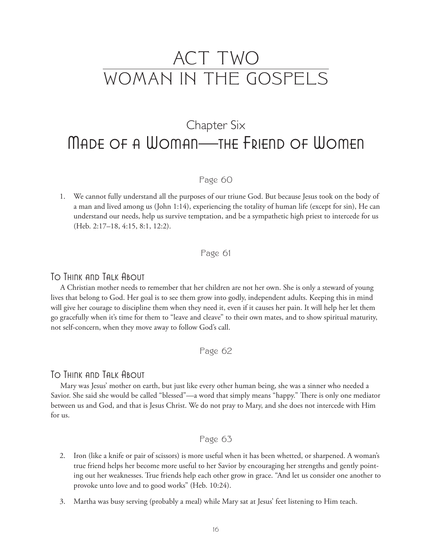# ACT TWO WOMAN IN THE GOSPELS

# Chapter Six Made of a Woman—the Friend of Women

# Page 60

1. We cannot fully understand all the purposes of our triune God. But because Jesus took on the body of a man and lived among us (John 1:14), experiencing the totality of human life (except for sin), He can understand our needs, help us survive temptation, and be a sympathetic high priest to intercede for us (Heb. 2:17–18, 4:15, 8:1, 12:2).

Page 61

# To Think and Talk About

A Christian mother needs to remember that her children are not her own. She is only a steward of young lives that belong to God. Her goal is to see them grow into godly, independent adults. Keeping this in mind will give her courage to discipline them when they need it, even if it causes her pain. It will help her let them go gracefully when it's time for them to "leave and cleave" to their own mates, and to show spiritual maturity, not self-concern, when they move away to follow God's call.

Page 62

# To Think and Talk About

Mary was Jesus' mother on earth, but just like every other human being, she was a sinner who needed a Savior. She said she would be called "blessed"—a word that simply means "happy." There is only one mediator between us and God, and that is Jesus Christ. We do not pray to Mary, and she does not intercede with Him for us.

### Page 63

- 2. Iron (like a knife or pair of scissors) is more useful when it has been whetted, or sharpened. A woman's true friend helps her become more useful to her Savior by encouraging her strengths and gently pointing out her weaknesses. True friends help each other grow in grace. "And let us consider one another to provoke unto love and to good works" (Heb. 10:24).
- 3. Martha was busy serving (probably a meal) while Mary sat at Jesus' feet listening to Him teach.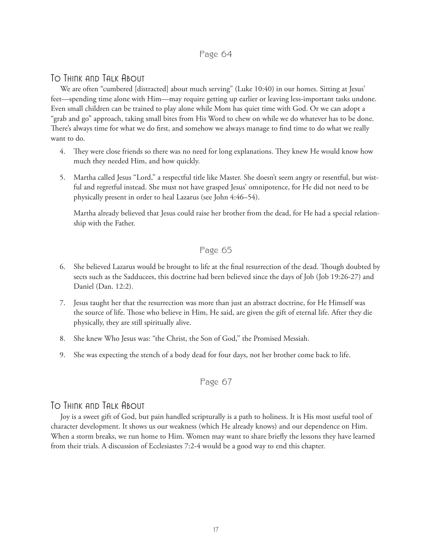# To Think and Talk About

We are often "cumbered [distracted] about much serving" (Luke 10:40) in our homes. Sitting at Jesus' feet—spending time alone with Him—may require getting up earlier or leaving less-important tasks undone. Even small children can be trained to play alone while Mom has quiet time with God. Or we can adopt a "grab and go" approach, taking small bites from His Word to chew on while we do whatever has to be done. There's always time for what we do first, and somehow we always manage to find time to do what we really want to do.

- 4. They were close friends so there was no need for long explanations. They knew He would know how much they needed Him, and how quickly.
- 5. Martha called Jesus "Lord," a respectful title like Master. She doesn't seem angry or resentful, but wistful and regretful instead. She must not have grasped Jesus' omnipotence, for He did not need to be physically present in order to heal Lazarus (see John 4:46–54).

 Martha already believed that Jesus could raise her brother from the dead, for He had a special relationship with the Father.

# Page 65

- 6. She believed Lazarus would be brought to life at the final resurrection of the dead. Though doubted by sects such as the Sadducees, this doctrine had been believed since the days of Job (Job 19:26-27) and Daniel (Dan. 12:2).
- 7. Jesus taught her that the resurrection was more than just an abstract doctrine, for He Himself was the source of life. Those who believe in Him, He said, are given the gift of eternal life. After they die physically, they are still spiritually alive.
- 8. She knew Who Jesus was: "the Christ, the Son of God," the Promised Messiah.
- 9. She was expecting the stench of a body dead for four days, not her brother come back to life.

# Page 67

# To Think and Talk About

Joy is a sweet gift of God, but pain handled scripturally is a path to holiness. It is His most useful tool of character development. It shows us our weakness (which He already knows) and our dependence on Him. When a storm breaks, we run home to Him. Women may want to share briefly the lessons they have learned from their trials. A discussion of Ecclesiastes 7:2-4 would be a good way to end this chapter.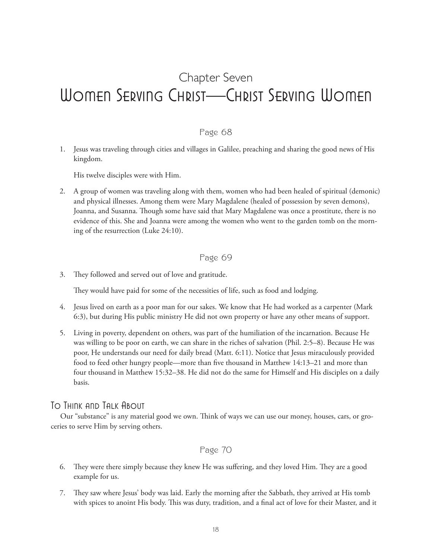# Chapter Seven Women Serving Christ—Christ Serving Women

# Page 68

1. Jesus was traveling through cities and villages in Galilee, preaching and sharing the good news of His kingdom.

His twelve disciples were with Him.

2. A group of women was traveling along with them, women who had been healed of spiritual (demonic) and physical illnesses. Among them were Mary Magdalene (healed of possession by seven demons), Joanna, and Susanna. Though some have said that Mary Magdalene was once a prostitute, there is no evidence of this. She and Joanna were among the women who went to the garden tomb on the morning of the resurrection (Luke 24:10).

### Page 69

3. They followed and served out of love and gratitude.

They would have paid for some of the necessities of life, such as food and lodging.

- 4. Jesus lived on earth as a poor man for our sakes. We know that He had worked as a carpenter (Mark 6:3), but during His public ministry He did not own property or have any other means of support.
- 5. Living in poverty, dependent on others, was part of the humiliation of the incarnation. Because He was willing to be poor on earth, we can share in the riches of salvation (Phil. 2:5–8). Because He was poor, He understands our need for daily bread (Matt. 6:11). Notice that Jesus miraculously provided food to feed other hungry people—more than five thousand in Matthew 14:13–21 and more than four thousand in Matthew 15:32–38. He did not do the same for Himself and His disciples on a daily basis.

# To Think and Talk About

Our "substance" is any material good we own. Think of ways we can use our money, houses, cars, or groceries to serve Him by serving others.

### Page 70

- 6. They were there simply because they knew He was suffering, and they loved Him. They are a good example for us.
- 7. They saw where Jesus' body was laid. Early the morning after the Sabbath, they arrived at His tomb with spices to anoint His body. This was duty, tradition, and a final act of love for their Master, and it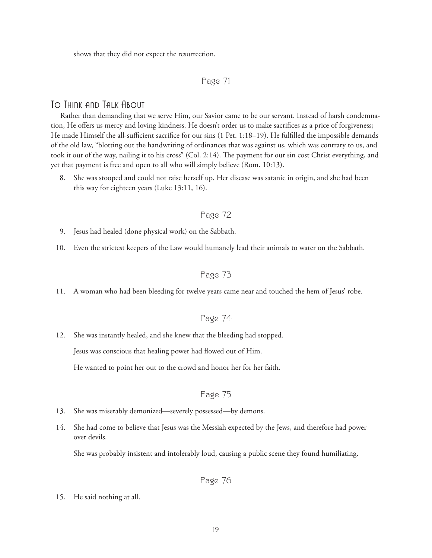shows that they did not expect the resurrection.

### Page 71

## To Think and Talk About

Rather than demanding that we serve Him, our Savior came to be our servant. Instead of harsh condemnation, He offers us mercy and loving kindness. He doesn't order us to make sacrifices as a price of forgiveness; He made Himself the all-sufficient sacrifice for our sins (1 Pet. 1:18–19). He fulfilled the impossible demands of the old law, "blotting out the handwriting of ordinances that was against us, which was contrary to us, and took it out of the way, nailing it to his cross" (Col. 2:14). The payment for our sin cost Christ everything, and yet that payment is free and open to all who will simply believe (Rom. 10:13).

8. She was stooped and could not raise herself up. Her disease was satanic in origin, and she had been this way for eighteen years (Luke 13:11, 16).

### Page 72

- 9. Jesus had healed (done physical work) on the Sabbath.
- 10. Even the strictest keepers of the Law would humanely lead their animals to water on the Sabbath.

# Page 73

11. A woman who had been bleeding for twelve years came near and touched the hem of Jesus' robe.

# Page 74

12. She was instantly healed, and she knew that the bleeding had stopped.

Jesus was conscious that healing power had flowed out of Him.

He wanted to point her out to the crowd and honor her for her faith.

### Page 75

- 13. She was miserably demonized—severely possessed—by demons.
- 14. She had come to believe that Jesus was the Messiah expected by the Jews, and therefore had power over devils.

She was probably insistent and intolerably loud, causing a public scene they found humiliating.

Page 76

15. He said nothing at all.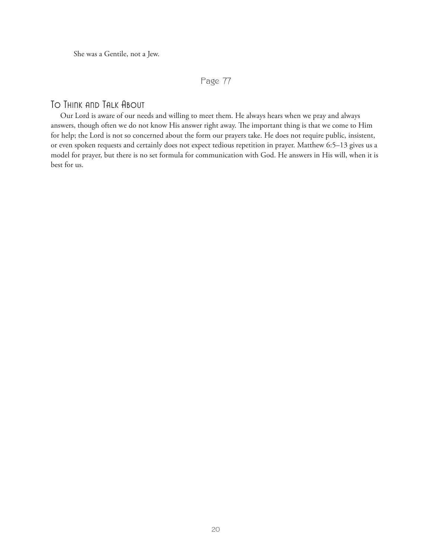She was a Gentile, not a Jew.

# Page 77

# To Think and Talk About

Our Lord is aware of our needs and willing to meet them. He always hears when we pray and always answers, though often we do not know His answer right away. The important thing is that we come to Him for help; the Lord is not so concerned about the form our prayers take. He does not require public, insistent, or even spoken requests and certainly does not expect tedious repetition in prayer. Matthew 6:5–13 gives us a model for prayer, but there is no set formula for communication with God. He answers in His will, when it is best for us.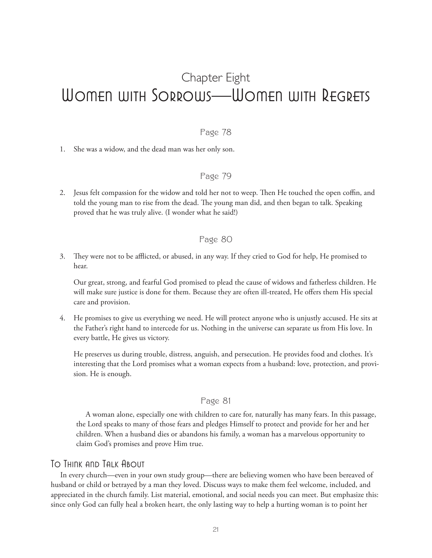# Chapter Eight Women with Sorrows—Women with Regrets

# Page 78

1. She was a widow, and the dead man was her only son.

# Page 79

2. Jesus felt compassion for the widow and told her not to weep. Then He touched the open coffin, and told the young man to rise from the dead. The young man did, and then began to talk. Speaking proved that he was truly alive. (I wonder what he said!)

### Page 80

3. They were not to be afflicted, or abused, in any way. If they cried to God for help, He promised to hear.

 Our great, strong, and fearful God promised to plead the cause of widows and fatherless children. He will make sure justice is done for them. Because they are often ill-treated, He offers them His special care and provision.

4. He promises to give us everything we need. He will protect anyone who is unjustly accused. He sits at the Father's right hand to intercede for us. Nothing in the universe can separate us from His love. In every battle, He gives us victory.

 He preserves us during trouble, distress, anguish, and persecution. He provides food and clothes. It's interesting that the Lord promises what a woman expects from a husband: love, protection, and provision. He is enough.

#### Page 81

A woman alone, especially one with children to care for, naturally has many fears. In this passage, the Lord speaks to many of those fears and pledges Himself to protect and provide for her and her children. When a husband dies or abandons his family, a woman has a marvelous opportunity to claim God's promises and prove Him true.

### To Think and Talk About

In every church—even in your own study group—there are believing women who have been bereaved of husband or child or betrayed by a man they loved. Discuss ways to make them feel welcome, included, and appreciated in the church family. List material, emotional, and social needs you can meet. But emphasize this: since only God can fully heal a broken heart, the only lasting way to help a hurting woman is to point her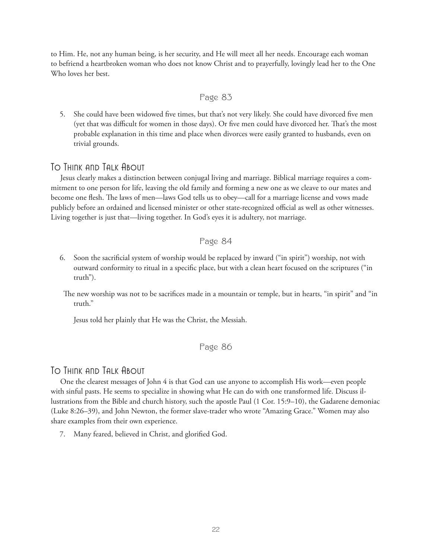to Him. He, not any human being, is her security, and He will meet all her needs. Encourage each woman to befriend a heartbroken woman who does not know Christ and to prayerfully, lovingly lead her to the One Who loves her best.

### Page 83

5. She could have been widowed five times, but that's not very likely. She could have divorced five men (yet that was difficult for women in those days). Or five men could have divorced her. That's the most probable explanation in this time and place when divorces were easily granted to husbands, even on trivial grounds.

# To Think and Talk About

Jesus clearly makes a distinction between conjugal living and marriage. Biblical marriage requires a commitment to one person for life, leaving the old family and forming a new one as we cleave to our mates and become one flesh. The laws of men—laws God tells us to obey—call for a marriage license and vows made publicly before an ordained and licensed minister or other state-recognized official as well as other witnesses. Living together is just that—living together. In God's eyes it is adultery, not marriage.

# Page 84

- 6. Soon the sacrificial system of worship would be replaced by inward ("in spirit") worship, not with outward conformity to ritual in a specific place, but with a clean heart focused on the scriptures ("in truth").
	- The new worship was not to be sacrifices made in a mountain or temple, but in hearts, "in spirit" and "in truth."

Jesus told her plainly that He was the Christ, the Messiah.

### Page 86

# To Think and Talk About

One the clearest messages of John 4 is that God can use anyone to accomplish His work—even people with sinful pasts. He seems to specialize in showing what He can do with one transformed life. Discuss illustrations from the Bible and church history, such the apostle Paul (1 Cor. 15:9–10), the Gadarene demoniac (Luke 8:26–39), and John Newton, the former slave-trader who wrote "Amazing Grace." Women may also share examples from their own experience.

7. Many feared, believed in Christ, and glorified God.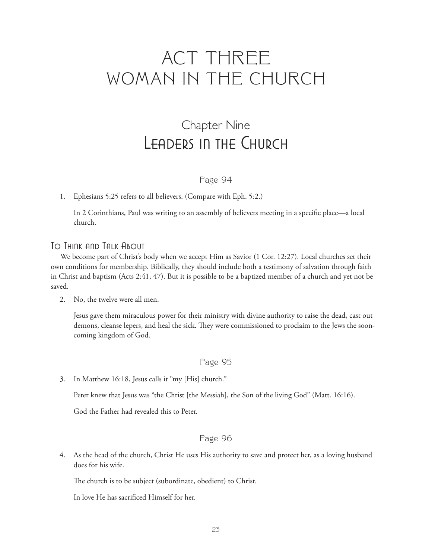# ACT THREE WOMAN IN THE CHURCH

# Chapter Nine Leaders in the Church

# Page 94

### 1. Ephesians 5:25 refers to all believers. (Compare with Eph. 5:2.)

 In 2 Corinthians, Paul was writing to an assembly of believers meeting in a specific place—a local church.

# To Think and Talk About

We become part of Christ's body when we accept Him as Savior (1 Cor. 12:27). Local churches set their own conditions for membership. Biblically, they should include both a testimony of salvation through faith in Christ and baptism (Acts 2:41, 47). But it is possible to be a baptized member of a church and yet not be saved.

2. No, the twelve were all men.

 Jesus gave them miraculous power for their ministry with divine authority to raise the dead, cast out demons, cleanse lepers, and heal the sick. They were commissioned to proclaim to the Jews the sooncoming kingdom of God.

### Page 95

3. In Matthew 16:18, Jesus calls it "my [His] church."

Peter knew that Jesus was "the Christ [the Messiah], the Son of the living God" (Matt. 16:16).

God the Father had revealed this to Peter.

### Page 96

4. As the head of the church, Christ He uses His authority to save and protect her, as a loving husband does for his wife.

The church is to be subject (subordinate, obedient) to Christ.

In love He has sacrificed Himself for her.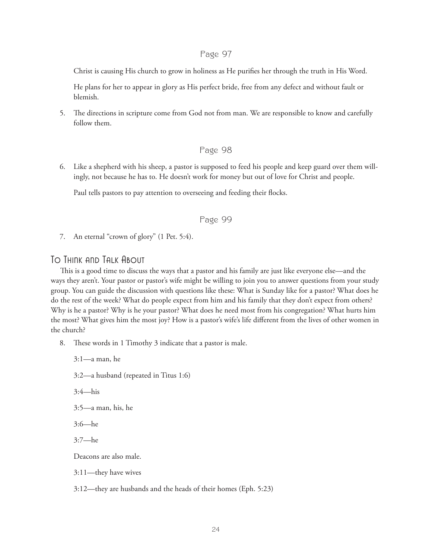Christ is causing His church to grow in holiness as He purifies her through the truth in His Word.

 He plans for her to appear in glory as His perfect bride, free from any defect and without fault or blemish.

5. The directions in scripture come from God not from man. We are responsible to know and carefully follow them.

#### Page 98

6. Like a shepherd with his sheep, a pastor is supposed to feed his people and keep guard over them willingly, not because he has to. He doesn't work for money but out of love for Christ and people.

Paul tells pastors to pay attention to overseeing and feeding their flocks.

### Page 99

7. An eternal "crown of glory" (1 Pet. 5:4).

# To Think and Talk About

3:1—a man, he

This is a good time to discuss the ways that a pastor and his family are just like everyone else—and the ways they aren't. Your pastor or pastor's wife might be willing to join you to answer questions from your study group. You can guide the discussion with questions like these: What is Sunday like for a pastor? What does he do the rest of the week? What do people expect from him and his family that they don't expect from others? Why is he a pastor? Why is he your pastor? What does he need most from his congregation? What hurts him the most? What gives him the most joy? How is a pastor's wife's life different from the lives of other women in the church?

8. These words in 1 Timothy 3 indicate that a pastor is male.

 3:2—a husband (repeated in Titus 1:6) 3:4—his 3:5—a man, his, he 3:6—he 3:7—he Deacons are also male. 3:11—they have wives 3:12—they are husbands and the heads of their homes (Eph. 5:23)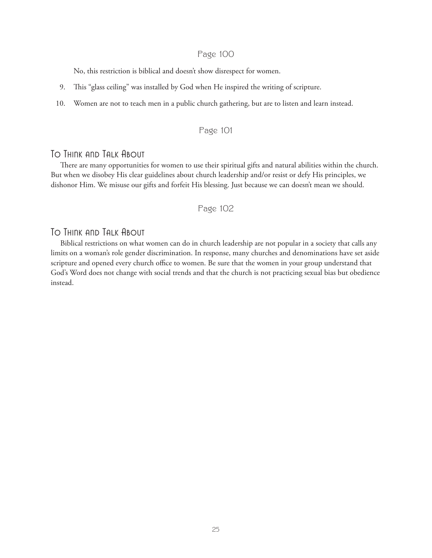No, this restriction is biblical and doesn't show disrespect for women.

- 9. This "glass ceiling" was installed by God when He inspired the writing of scripture.
- 10. Women are not to teach men in a public church gathering, but are to listen and learn instead.

### Page 101

# To Think and Talk About

There are many opportunities for women to use their spiritual gifts and natural abilities within the church. But when we disobey His clear guidelines about church leadership and/or resist or defy His principles, we dishonor Him. We misuse our gifts and forfeit His blessing. Just because we can doesn't mean we should.

Page 102

# To Think and Talk About

Biblical restrictions on what women can do in church leadership are not popular in a society that calls any limits on a woman's role gender discrimination. In response, many churches and denominations have set aside scripture and opened every church office to women. Be sure that the women in your group understand that God's Word does not change with social trends and that the church is not practicing sexual bias but obedience instead.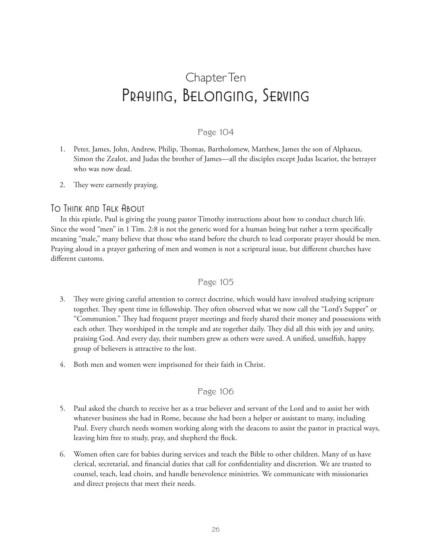# Chapter Ten Praying, Belonging, Serving

# Page 104

- 1. Peter, James, John, Andrew, Philip, Thomas, Bartholomew, Matthew, James the son of Alphaeus, Simon the Zealot, and Judas the brother of James—all the disciples except Judas Iscariot, the betrayer who was now dead.
- 2. They were earnestly praying.

# To Think and Talk About

In this epistle, Paul is giving the young pastor Timothy instructions about how to conduct church life. Since the word "men" in 1 Tim. 2:8 is not the generic word for a human being but rather a term specifically meaning "male," many believe that those who stand before the church to lead corporate prayer should be men. Praying aloud in a prayer gathering of men and women is not a scriptural issue, but different churches have different customs.

# Page 105

- 3. They were giving careful attention to correct doctrine, which would have involved studying scripture together. They spent time in fellowship. They often observed what we now call the "Lord's Supper" or "Communion." They had frequent prayer meetings and freely shared their money and possessions with each other. They worshiped in the temple and ate together daily. They did all this with joy and unity, praising God. And every day, their numbers grew as others were saved. A unified, unselfish, happy group of believers is attractive to the lost.
- 4. Both men and women were imprisoned for their faith in Christ.

# Page 106

- 5. Paul asked the church to receive her as a true believer and servant of the Lord and to assist her with whatever business she had in Rome, because she had been a helper or assistant to many, including Paul. Every church needs women working along with the deacons to assist the pastor in practical ways, leaving him free to study, pray, and shepherd the flock.
- 6. Women often care for babies during services and teach the Bible to other children. Many of us have clerical, secretarial, and financial duties that call for confidentiality and discretion. We are trusted to counsel, teach, lead choirs, and handle benevolence ministries. We communicate with missionaries and direct projects that meet their needs.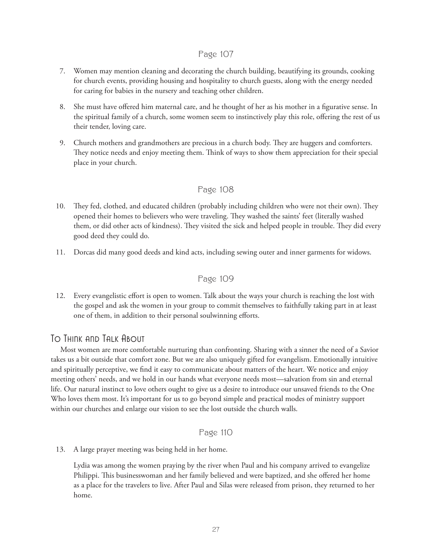- 7. Women may mention cleaning and decorating the church building, beautifying its grounds, cooking for church events, providing housing and hospitality to church guests, along with the energy needed for caring for babies in the nursery and teaching other children.
- 8. She must have offered him maternal care, and he thought of her as his mother in a figurative sense. In the spiritual family of a church, some women seem to instinctively play this role, offering the rest of us their tender, loving care.
- 9. Church mothers and grandmothers are precious in a church body. They are huggers and comforters. They notice needs and enjoy meeting them. Think of ways to show them appreciation for their special place in your church.

# Page 108

- 10. They fed, clothed, and educated children (probably including children who were not their own). They opened their homes to believers who were traveling. They washed the saints' feet (literally washed them, or did other acts of kindness). They visited the sick and helped people in trouble. They did every good deed they could do.
- 11. Dorcas did many good deeds and kind acts, including sewing outer and inner garments for widows.

### Page 109

12. Every evangelistic effort is open to women. Talk about the ways your church is reaching the lost with the gospel and ask the women in your group to commit themselves to faithfully taking part in at least one of them, in addition to their personal soulwinning efforts.

# To Think and Talk About

Most women are more comfortable nurturing than confronting. Sharing with a sinner the need of a Savior takes us a bit outside that comfort zone. But we are also uniquely gifted for evangelism. Emotionally intuitive and spiritually perceptive, we find it easy to communicate about matters of the heart. We notice and enjoy meeting others' needs, and we hold in our hands what everyone needs most—salvation from sin and eternal life. Our natural instinct to love others ought to give us a desire to introduce our unsaved friends to the One Who loves them most. It's important for us to go beyond simple and practical modes of ministry support within our churches and enlarge our vision to see the lost outside the church walls.

# Page 110

13. A large prayer meeting was being held in her home.

 Lydia was among the women praying by the river when Paul and his company arrived to evangelize Philippi. This businesswoman and her family believed and were baptized, and she offered her home as a place for the travelers to live. After Paul and Silas were released from prison, they returned to her home.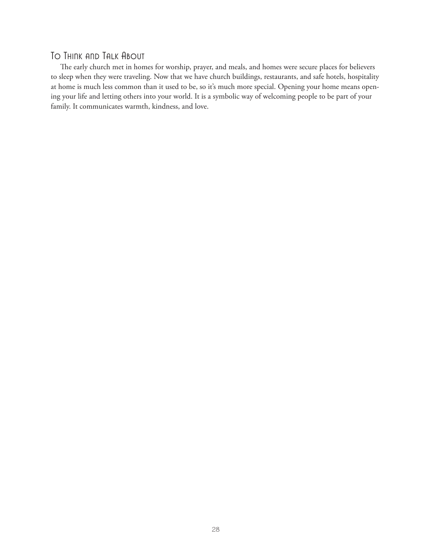# To Think and Talk About

The early church met in homes for worship, prayer, and meals, and homes were secure places for believers to sleep when they were traveling. Now that we have church buildings, restaurants, and safe hotels, hospitality at home is much less common than it used to be, so it's much more special. Opening your home means opening your life and letting others into your world. It is a symbolic way of welcoming people to be part of your family. It communicates warmth, kindness, and love.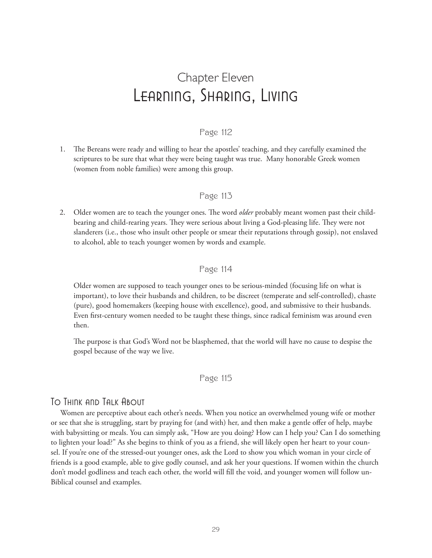# Chapter Eleven Learning, Sharing, Living

## Page 112

1. The Bereans were ready and willing to hear the apostles' teaching, and they carefully examined the scriptures to be sure that what they were being taught was true. Many honorable Greek women (women from noble families) were among this group.

#### Page 113

2. Older women are to teach the younger ones. The word *older* probably meant women past their childbearing and child-rearing years. They were serious about living a God-pleasing life. They were not slanderers (i.e., those who insult other people or smear their reputations through gossip), not enslaved to alcohol, able to teach younger women by words and example.

#### Page 114

 Older women are supposed to teach younger ones to be serious-minded (focusing life on what is important), to love their husbands and children, to be discreet (temperate and self-controlled), chaste (pure), good homemakers (keeping house with excellence), good, and submissive to their husbands. Even first-century women needed to be taught these things, since radical feminism was around even then.

 The purpose is that God's Word not be blasphemed, that the world will have no cause to despise the gospel because of the way we live.

### Page 115

### To Think and Talk About

Women are perceptive about each other's needs. When you notice an overwhelmed young wife or mother or see that she is struggling, start by praying for (and with) her, and then make a gentle offer of help, maybe with babysitting or meals. You can simply ask, "How are you doing? How can I help you? Can I do something to lighten your load?" As she begins to think of you as a friend, she will likely open her heart to your counsel. If you're one of the stressed-out younger ones, ask the Lord to show you which woman in your circle of friends is a good example, able to give godly counsel, and ask her your questions. If women within the church don't model godliness and teach each other, the world will fill the void, and younger women will follow un-Biblical counsel and examples.